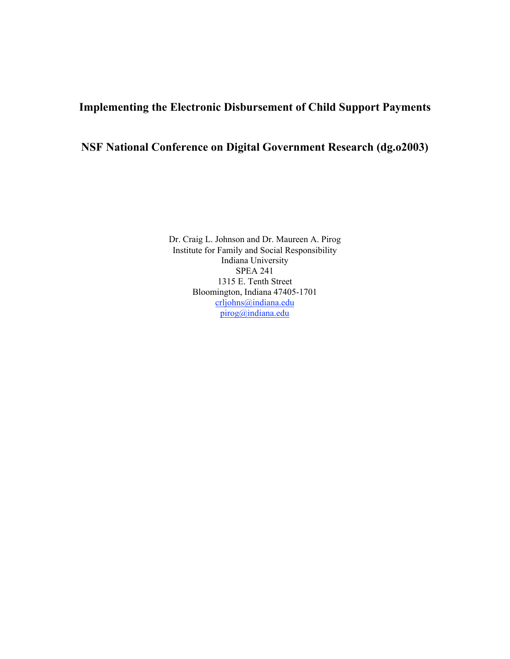# **Implementing the Electronic Disbursement of Child Support Payments**

# **NSF National Conference on Digital Government Research (dg.o2003)**

Dr. Craig L. Johnson and Dr. Maureen A. Pirog Institute for Family and Social Responsibility Indiana University SPEA 241 1315 E. Tenth Street Bloomington, Indiana 47405-1701 crljohns@indiana.edu pirog@indiana.edu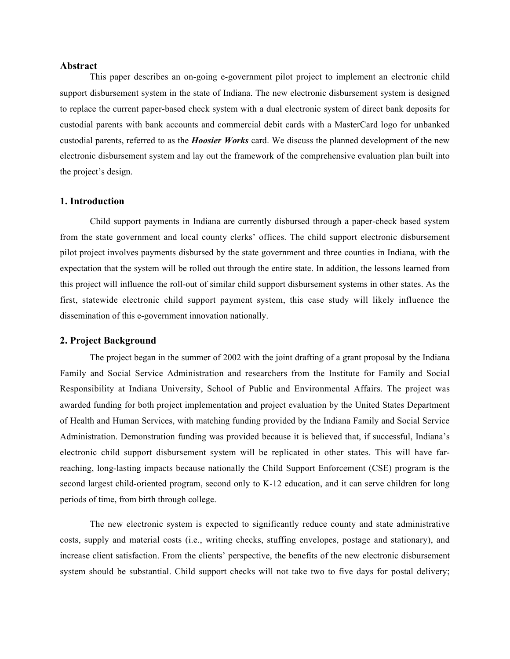### **Abstract**

This paper describes an on-going e-government pilot project to implement an electronic child support disbursement system in the state of Indiana. The new electronic disbursement system is designed to replace the current paper-based check system with a dual electronic system of direct bank deposits for custodial parents with bank accounts and commercial debit cards with a MasterCard logo for unbanked custodial parents, referred to as the *Hoosier Works* card. We discuss the planned development of the new electronic disbursement system and lay out the framework of the comprehensive evaluation plan built into the project's design.

## **1. Introduction**

Child support payments in Indiana are currently disbursed through a paper-check based system from the state government and local county clerks' offices. The child support electronic disbursement pilot project involves payments disbursed by the state government and three counties in Indiana, with the expectation that the system will be rolled out through the entire state. In addition, the lessons learned from this project will influence the roll-out of similar child support disbursement systems in other states. As the first, statewide electronic child support payment system, this case study will likely influence the dissemination of this e-government innovation nationally.

#### **2. Project Background**

The project began in the summer of 2002 with the joint drafting of a grant proposal by the Indiana Family and Social Service Administration and researchers from the Institute for Family and Social Responsibility at Indiana University, School of Public and Environmental Affairs. The project was awarded funding for both project implementation and project evaluation by the United States Department of Health and Human Services, with matching funding provided by the Indiana Family and Social Service Administration. Demonstration funding was provided because it is believed that, if successful, Indiana's electronic child support disbursement system will be replicated in other states. This will have farreaching, long-lasting impacts because nationally the Child Support Enforcement (CSE) program is the second largest child-oriented program, second only to K-12 education, and it can serve children for long periods of time, from birth through college.

The new electronic system is expected to significantly reduce county and state administrative costs, supply and material costs (i.e., writing checks, stuffing envelopes, postage and stationary), and increase client satisfaction. From the clients' perspective, the benefits of the new electronic disbursement system should be substantial. Child support checks will not take two to five days for postal delivery;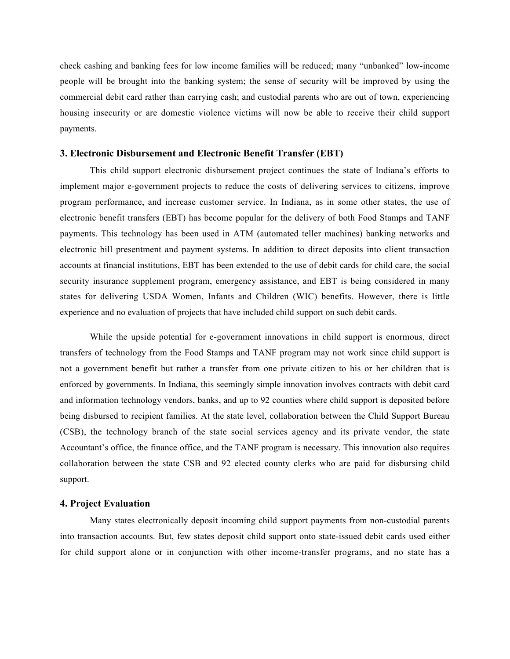check cashing and banking fees for low income families will be reduced; many "unbanked" low-income people will be brought into the banking system; the sense of security will be improved by using the commercial debit card rather than carrying cash; and custodial parents who are out of town, experiencing housing insecurity or are domestic violence victims will now be able to receive their child support payments.

#### **3. Electronic Disbursement and Electronic Benefit Transfer (EBT)**

This child support electronic disbursement project continues the state of Indiana's efforts to implement major e-government projects to reduce the costs of delivering services to citizens, improve program performance, and increase customer service. In Indiana, as in some other states, the use of electronic benefit transfers (EBT) has become popular for the delivery of both Food Stamps and TANF payments. This technology has been used in ATM (automated teller machines) banking networks and electronic bill presentment and payment systems. In addition to direct deposits into client transaction accounts at financial institutions, EBT has been extended to the use of debit cards for child care, the social security insurance supplement program, emergency assistance, and EBT is being considered in many states for delivering USDA Women, Infants and Children (WIC) benefits. However, there is little experience and no evaluation of projects that have included child support on such debit cards.

While the upside potential for e-government innovations in child support is enormous, direct transfers of technology from the Food Stamps and TANF program may not work since child support is not a government benefit but rather a transfer from one private citizen to his or her children that is enforced by governments. In Indiana, this seemingly simple innovation involves contracts with debit card and information technology vendors, banks, and up to 92 counties where child support is deposited before being disbursed to recipient families. At the state level, collaboration between the Child Support Bureau (CSB), the technology branch of the state social services agency and its private vendor, the state Accountant's office, the finance office, and the TANF program is necessary. This innovation also requires collaboration between the state CSB and 92 elected county clerks who are paid for disbursing child support.

# **4. Project Evaluation**

Many states electronically deposit incoming child support payments from non-custodial parents into transaction accounts. But, few states deposit child support onto state-issued debit cards used either for child support alone or in conjunction with other income-transfer programs, and no state has a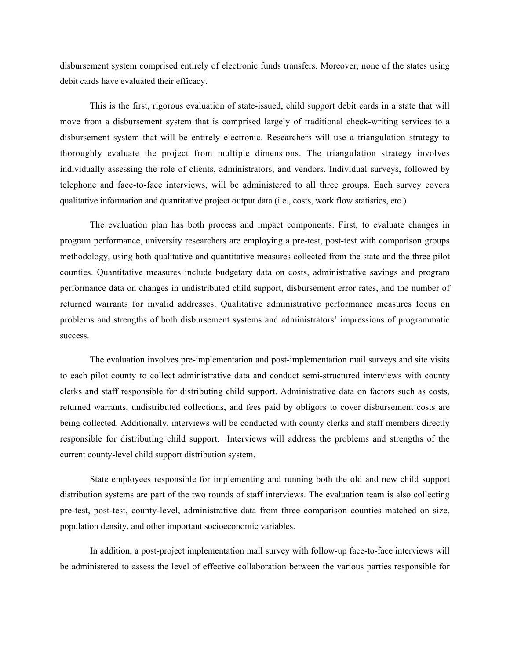disbursement system comprised entirely of electronic funds transfers. Moreover, none of the states using debit cards have evaluated their efficacy.

This is the first, rigorous evaluation of state-issued, child support debit cards in a state that will move from a disbursement system that is comprised largely of traditional check-writing services to a disbursement system that will be entirely electronic. Researchers will use a triangulation strategy to thoroughly evaluate the project from multiple dimensions. The triangulation strategy involves individually assessing the role of clients, administrators, and vendors. Individual surveys, followed by telephone and face-to-face interviews, will be administered to all three groups. Each survey covers qualitative information and quantitative project output data (i.e., costs, work flow statistics, etc.)

The evaluation plan has both process and impact components. First, to evaluate changes in program performance, university researchers are employing a pre-test, post-test with comparison groups methodology, using both qualitative and quantitative measures collected from the state and the three pilot counties. Quantitative measures include budgetary data on costs, administrative savings and program performance data on changes in undistributed child support, disbursement error rates, and the number of returned warrants for invalid addresses. Qualitative administrative performance measures focus on problems and strengths of both disbursement systems and administrators' impressions of programmatic success.

The evaluation involves pre-implementation and post-implementation mail surveys and site visits to each pilot county to collect administrative data and conduct semi-structured interviews with county clerks and staff responsible for distributing child support. Administrative data on factors such as costs, returned warrants, undistributed collections, and fees paid by obligors to cover disbursement costs are being collected. Additionally, interviews will be conducted with county clerks and staff members directly responsible for distributing child support. Interviews will address the problems and strengths of the current county-level child support distribution system.

State employees responsible for implementing and running both the old and new child support distribution systems are part of the two rounds of staff interviews. The evaluation team is also collecting pre-test, post-test, county-level, administrative data from three comparison counties matched on size, population density, and other important socioeconomic variables.

In addition, a post-project implementation mail survey with follow-up face-to-face interviews will be administered to assess the level of effective collaboration between the various parties responsible for